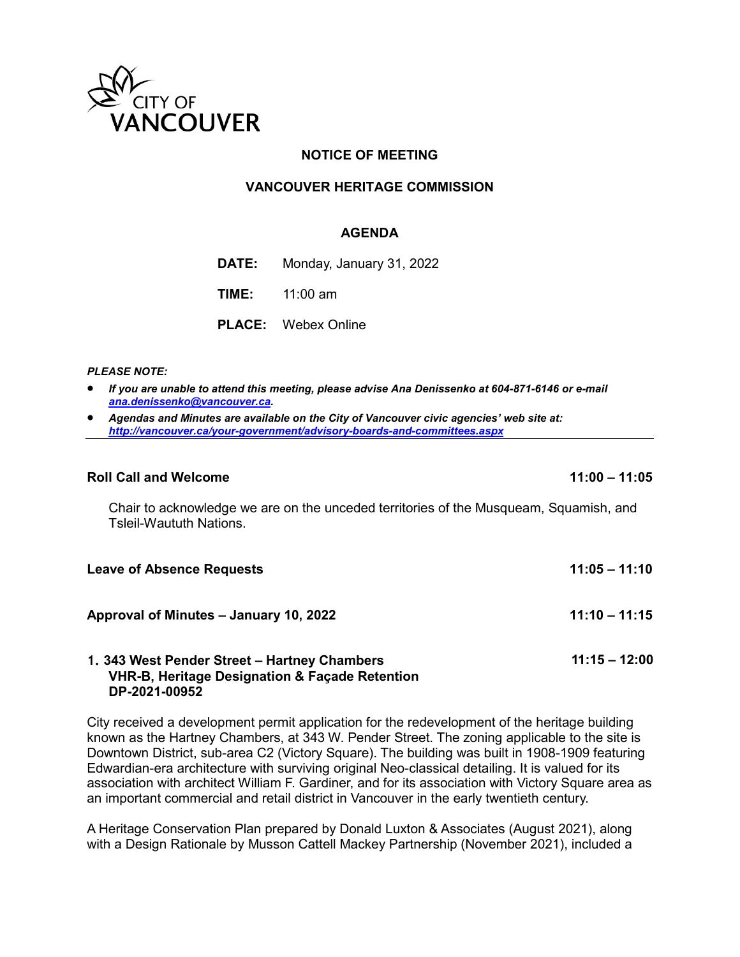

# **NOTICE OF MEETING**

### **VANCOUVER HERITAGE COMMISSION**

### **AGENDA**

**DATE:** Monday, January 31, 2022

**TIME:** 11:00 am

**PLACE:** Webex Online

#### *PLEASE NOTE:*

- *If you are unable to attend this meeting, please advise Ana Denissenko at 604-871-6146 or e-mail [ana.denissenko@vancouver.ca.](mailto:ana.denissenko@vancouver.ca)*
- *Agendas and Minutes are available on the City of Vancouver civic agencies' web site at: <http://vancouver.ca/your-government/advisory-boards-and-committees.aspx>*

### **Roll Call and Welcome 11:00 – 11:05**

Chair to acknowledge we are on the unceded territories of the Musqueam, Squamish, and Tsleil-Waututh Nations.

| <b>Leave of Absence Requests</b>             | $11:05 - 11:10$ |
|----------------------------------------------|-----------------|
| Approval of Minutes - January 10, 2022       | $11:10 - 11:15$ |
| 1. 343 West Pender Street - Hartney Chambers | $11:15 - 12:00$ |

# **VHR-B, Heritage Designation & Façade Retention DP-2021-00952**

City received a development permit application for the redevelopment of the heritage building known as the Hartney Chambers, at 343 W. Pender Street. The zoning applicable to the site is Downtown District, sub-area C2 (Victory Square). The building was built in 1908-1909 featuring Edwardian-era architecture with surviving original Neo-classical detailing. It is valued for its association with architect William F. Gardiner, and for its association with Victory Square area as an important commercial and retail district in Vancouver in the early twentieth century.

A Heritage Conservation Plan prepared by Donald Luxton & Associates (August 2021), along with a Design Rationale by Musson Cattell Mackey Partnership (November 2021), included a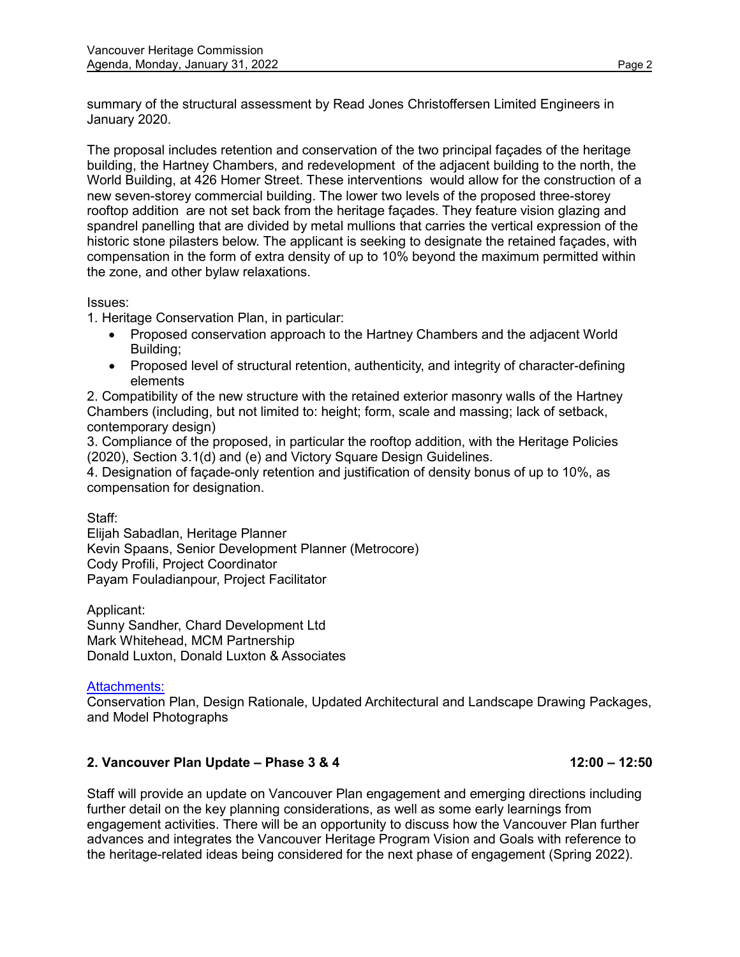summary of the structural assessment by Read Jones Christoffersen Limited Engineers in January 2020.

The proposal includes retention and conservation of the two principal façades of the heritage building, the Hartney Chambers, and redevelopment of the adjacent building to the north, the World Building, at 426 Homer Street. These interventions would allow for the construction of a new seven-storey commercial building. The lower two levels of the proposed three-storey rooftop addition are not set back from the heritage façades. They feature vision glazing and spandrel panelling that are divided by metal mullions that carries the vertical expression of the historic stone pilasters below. The applicant is seeking to designate the retained façades, with compensation in the form of extra density of up to 10% beyond the maximum permitted within the zone, and other bylaw relaxations.

Issues:

1. Heritage Conservation Plan, in particular:

- Proposed conservation approach to the Hartney Chambers and the adjacent World Building;
- Proposed level of structural retention, authenticity, and integrity of character-defining elements

2. Compatibility of the new structure with the retained exterior masonry walls of the Hartney Chambers (including, but not limited to: height; form, scale and massing; lack of setback, contemporary design)

3. Compliance of the proposed, in particular the rooftop addition, with the Heritage Policies (2020), Section 3.1(d) and (e) and Victory Square Design Guidelines.

4. Designation of façade-only retention and justification of density bonus of up to 10%, as compensation for designation.

Staff:

Elijah Sabadlan, Heritage Planner Kevin Spaans, Senior Development Planner (Metrocore) Cody Profili, Project Coordinator Payam Fouladianpour, Project Facilitator

Applicant: Sunny Sandher, Chard Development Ltd Mark Whitehead, MCM Partnership Donald Luxton, Donald Luxton & Associates

[Attachments](https://charddevelopment.sharepoint.com/sites/CDLT/Shared%20Documents/Forms/AllItems.aspx?id=%2Fsites%2FCDLT%2FShared%20Documents%2F256%20%2D%20Homer%20Transfer%2F343%20W%20Pender%5FHeritage%20Commission%20Presentation%5F2022%2E01%2E14&p=true):

Conservation Plan, Design Rationale, Updated Architectural and Landscape Drawing Packages, and Model Photographs

# **2. Vancouver Plan Update – Phase 3 & 4 12:00 – 12:50**

Staff will provide an update on Vancouver Plan engagement and emerging directions including further detail on the key planning considerations, as well as some early learnings from engagement activities. There will be an opportunity to discuss how the Vancouver Plan further advances and integrates the Vancouver Heritage Program Vision and Goals with reference to the heritage-related ideas being considered for the next phase of engagement (Spring 2022).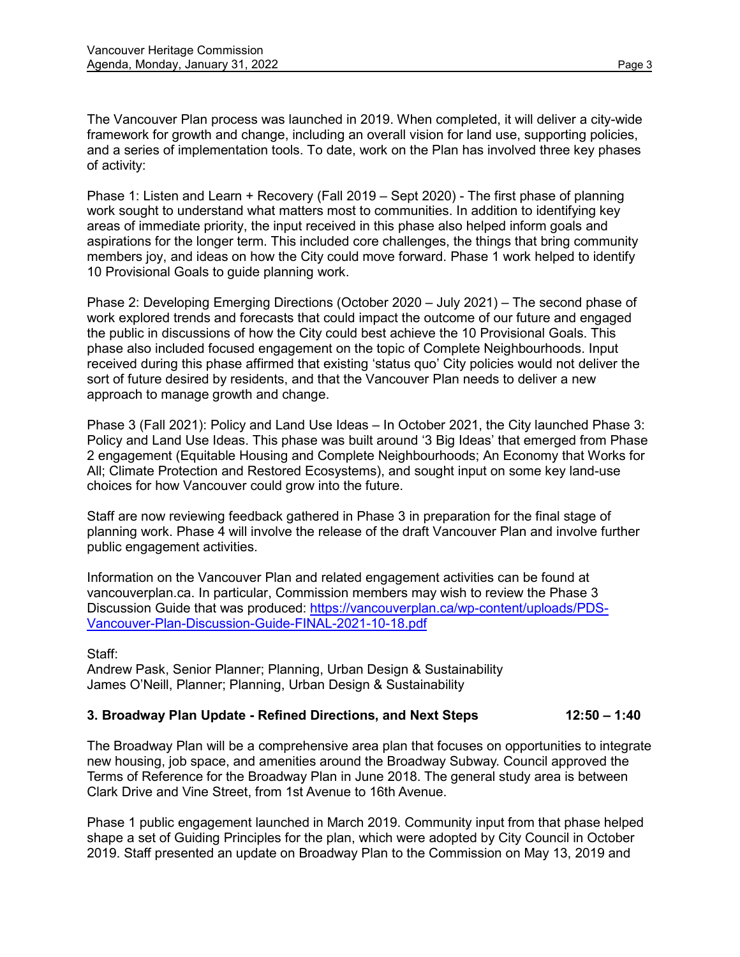The Vancouver Plan process was launched in 2019. When completed, it will deliver a city-wide framework for growth and change, including an overall vision for land use, supporting policies, and a series of implementation tools. To date, work on the Plan has involved three key phases of activity:

Phase 1: Listen and Learn + Recovery (Fall 2019 – Sept 2020) - The first phase of planning work sought to understand what matters most to communities. In addition to identifying key areas of immediate priority, the input received in this phase also helped inform goals and aspirations for the longer term. This included core challenges, the things that bring community members joy, and ideas on how the City could move forward. Phase 1 work helped to identify 10 Provisional Goals to guide planning work.

Phase 2: Developing Emerging Directions (October 2020 – July 2021) – The second phase of work explored trends and forecasts that could impact the outcome of our future and engaged the public in discussions of how the City could best achieve the 10 Provisional Goals. This phase also included focused engagement on the topic of Complete Neighbourhoods. Input received during this phase affirmed that existing 'status quo' City policies would not deliver the sort of future desired by residents, and that the Vancouver Plan needs to deliver a new approach to manage growth and change.

Phase 3 (Fall 2021): Policy and Land Use Ideas – In October 2021, the City launched Phase 3: Policy and Land Use Ideas. This phase was built around '3 Big Ideas' that emerged from Phase 2 engagement (Equitable Housing and Complete Neighbourhoods; An Economy that Works for All; Climate Protection and Restored Ecosystems), and sought input on some key land-use choices for how Vancouver could grow into the future.

Staff are now reviewing feedback gathered in Phase 3 in preparation for the final stage of planning work. Phase 4 will involve the release of the draft Vancouver Plan and involve further public engagement activities.

Information on the Vancouver Plan and related engagement activities can be found at vancouverplan.ca. In particular, Commission members may wish to review the Phase 3 Discussion Guide that was produced: [https://vancouverplan.ca/wp-content/uploads/PDS-](https://vancouverplan.ca/wp-content/uploads/PDS-Vancouver-Plan-Discussion-Guide-FINAL-2021-10-18.pdf)[Vancouver-Plan-Discussion-Guide-FINAL-2021-10-18.pdf](https://vancouverplan.ca/wp-content/uploads/PDS-Vancouver-Plan-Discussion-Guide-FINAL-2021-10-18.pdf) 

Staff:

Andrew Pask, Senior Planner; Planning, Urban Design & Sustainability James O'Neill, Planner; Planning, Urban Design & Sustainability

# **3. Broadway Plan Update - Refined Directions, and Next Steps 12:50 – 1:40**

The Broadway Plan will be a comprehensive area plan that focuses on opportunities to integrate new housing, job space, and amenities around the Broadway Subway. Council approved the Terms of Reference for the Broadway Plan in June 2018. The general study area is between Clark Drive and Vine Street, from 1st Avenue to 16th Avenue.

Phase 1 public engagement launched in March 2019. Community input from that phase helped shape a set of Guiding Principles for the plan, which were adopted by City Council in October 2019. Staff presented an update on Broadway Plan to the Commission on May 13, 2019 and